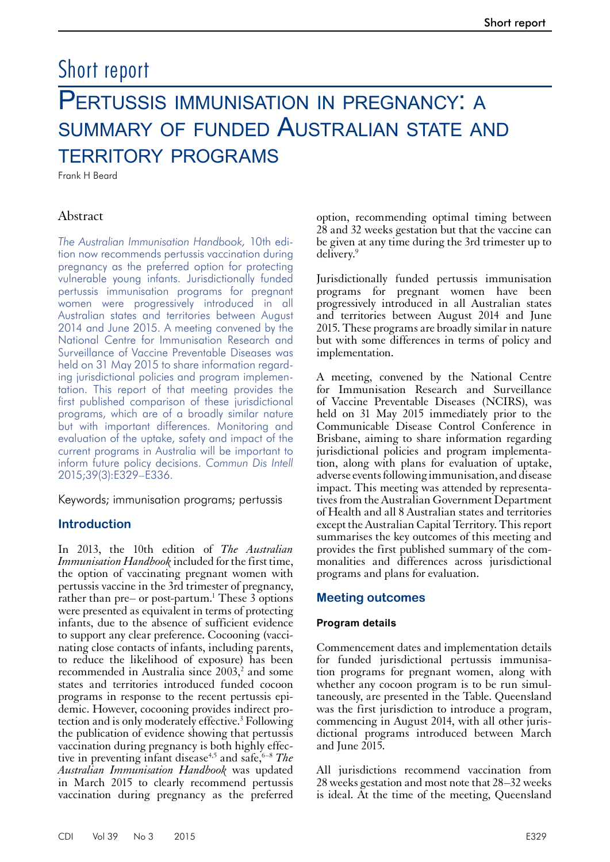# Short report

# PERTUSSIS IMMUNISATION IN PREGNANCY: A summary of funded Australian state and territory programs

Frank H Beard

# Abstract

*The Australian Immunisation Handbook,* 10th edition now recommends pertussis vaccination during pregnancy as the preferred option for protecting vulnerable young infants. Jurisdictionally funded pertussis immunisation programs for pregnant women were progressively introduced in all Australian states and territories between August 2014 and June 2015. A meeting convened by the National Centre for Immunisation Research and Surveillance of Vaccine Preventable Diseases was held on 31 May 2015 to share information regarding jurisdictional policies and program implementation. This report of that meeting provides the first published comparison of these jurisdictional programs, which are of a broadly similar nature but with important differences. Monitoring and evaluation of the uptake, safety and impact of the current programs in Australia will be important to inform future policy decisions. *Commun Dis Intell* 2015;39(3):E329–E336.

Keywords; immunisation programs; pertussis

# **Introduction**

In 2013, the 10th edition of *The Australian Immunisation Handbook* included for the first time, the option of vaccinating pregnant women with pertussis vaccine in the 3rd trimester of pregnancy, rather than pre– or post-partum.<sup>1</sup> These 3 options were presented as equivalent in terms of protecting infants, due to the absence of sufficient evidence to support any clear preference. Cocooning (vaccinating close contacts of infants, including parents, to reduce the likelihood of exposure) has been recommended in Australia since  $2003$ <sup>2</sup>, and some states and territories introduced funded cocoon programs in response to the recent pertussis epi-<br>demic. However, cocooning provides indirect pro-<br>tection and is only moderately effective.<sup>3</sup> Following the publication of evidence showing that pertussis vaccination during pregnancy is both highly effective in preventing infant disease<sup>4,5</sup> and safe,<sup>6–8</sup> *The Australian Immunisation Handbook* was updated in March 2015 to clearly recommend pertussis vaccination during pregnancy as the preferred

option, recommending optimal timing between 28 and 32 weeks gestation but that the vaccine can be given at any time during the 3rd trimester up to delivery.9

Jurisdictionally funded pertussis immunisation programs for pregnant women have been progressively introduced in all Australian states and territories between August 2014 and June 2015. These programs are broadly similar in nature but with some differences in terms of policy and implementation.

A meeting, convened by the National Centre for Immunisation Research and Surveillance of Vaccine Preventable Diseases (NCIRS), was held on 31 May 2015 immediately prior to the Communicable Disease Control Conference in Brisbane, aiming to share information regarding jurisdictional policies and program implementation, along with plans for evaluation of uptake, adverse events following immunisation, and disease impact. This meeting was attended by representa- tives from the Australian Government Department of Health and all 8 Australian states and territories except the Australian Capital Territory. This report summarises the key outcomes of this meeting and provides the first published summary of the com- monalities and differences across jurisdictional programs and plans for evaluation.

# **Meeting outcomes**

#### **Program details**

Commencement dates and implementation details for funded jurisdictional pertussis immunisation programs for pregnant women, along with whether any cocoon program is to be run simul- taneously, are presented in the Table. Queensland was the first jurisdiction to introduce a program, commencing in August 2014, with all other juris- dictional programs introduced between March and June  $2015$ .

All jurisdictions recommend vaccination from 28 weeks gestation and most note that 28–32 weeks is ideal. At the time of the meeting, Queensland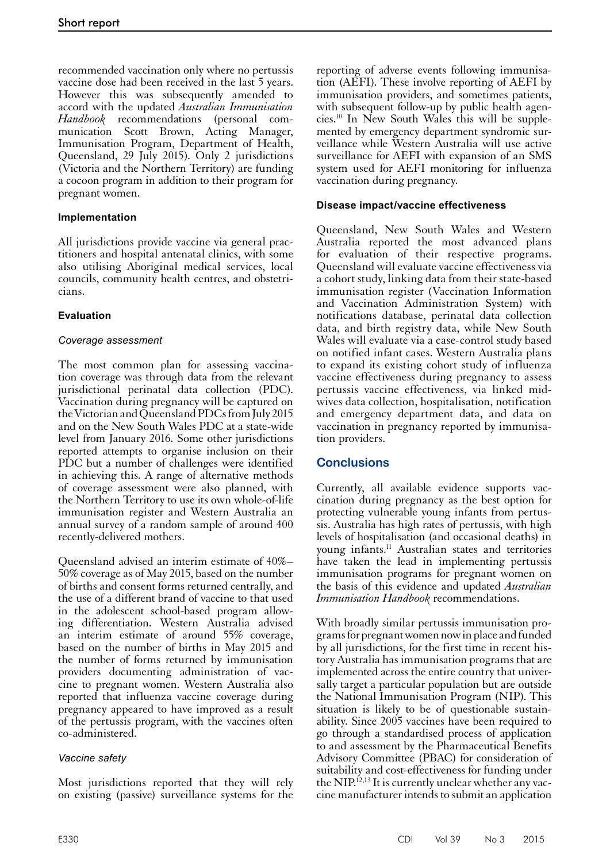recommended vaccination only where no pertussis vaccine dose had been received in the last 5 years. However this was subsequently amended to accord with the updated *Australian Immunisation Handbook* recommendations (personal communication Scott Brown, Acting Manager, Immunisation Program, Department of Health, Queensland, 29 July 2015). Only 2 jurisdictions (Victoria and the Northern Territory) are funding a cocoon program in addition to their program for pregnant women.

# **Implementation**

All jurisdictions provide vaccine via general practitioners and hospital antenatal clinics, with some also utilising Aboriginal medical services, local councils, community health centres, and obstetricians.

# **Evaluation**

#### *Coverage assessment*

The most common plan for assessing vaccination coverage was through data from the relevant jurisdictional perinatal data collection (PDC). Vaccination during pregnancy will be captured on the Victorian and Queensland PDCs from July 2015 and on the New South Wales PDC at a state-wide level from January 2016. Some other jurisdictions reported attempts to organise inclusion on their PDC but a number of challenges were identified in achieving this. A range of alternative methods of coverage assessment were also planned, with the Northern Territory to use its own whole-of-life immunisation register and Western Australia an annual survey of a random sample of around 400 recently-delivered mothers.

Queensland advised an interim estimate of 40%– 50% coverage as of May 2015, based on the number of births and consent forms returned centrally, and the use of a different brand of vaccine to that used in the adolescent school-based program allowing differentiation. Western Australia advised an interim estimate of around 55% coverage, based on the number of births in May 2015 and the number of forms returned by immunisation providers documenting administration of vaccine to pregnant women. Western Australia also reported that influenza vaccine coverage during pregnancy appeared to have improved as a result of the pertussis program, with the vaccines often co-administered.

# *Vaccine safety*

Most jurisdictions reported that they will rely on existing (passive) surveillance systems for the

reporting of adverse events following immunisation (AEFI). These involve reporting of AEFI by immunisation providers, and sometimes patients, with subsequent follow-up by public health agencies.10 In New South Wales this will be supplemented by emergency department syndromic surveillance while Western Australia will use active surveillance for AEFI with expansion of an SMS system used for AEFI monitoring for influenza vaccination during pregnancy.

#### **Disease impact/vaccine effectiveness**

Queensland, New South Wales and Western Australia reported the most advanced plans for evaluation of their respective programs. Queensland will evaluate vaccine effectiveness via a cohort study, linking data from their state-based immunisation register (Vaccination Information and Vaccination Administration System) with notifications database, perinatal data collection data, and birth registry data, while New South Wales will evaluate via a case-control study based on notified infant cases. Western Australia plans to expand its existing cohort study of influenza vaccine effectiveness during pregnancy to assess pertussis vaccine effectiveness, via linked midwives data collection, hospitalisation, notification and emergency department data, and data on vaccination in pregnancy reported by immunisation providers.

# **Conclusions**

Currently, all available evidence supports vac- cination during pregnancy as the best option for protecting vulnerable young infants from pertus- sis. Australia has high rates of pertussis, with high levels of hospitalisation (and occasional deaths) in young infants.11 Australian states and territories have taken the lead in implementing pertussis immunisation programs for pregnant women on the basis of this evidence and updated *Australian Immunisation Handbook* recommendations.

With broadly similar pertussis immunisation programs for pregnant women now in place and funded by all jurisdictions, for the first time in recent history Australia has immunisation programs that are implemented across the entire country that universally target a particular population but are outside the National Immunisation Program (NIP). This situation is likely to be of questionable sustain- ability. Since 2005 vaccines have been required to go through a standardised process of application to and assessment by the Pharmaceutical Benefits Advisory Committee (PBAC) for consideration of suitability and cost-effectiveness for funding under the NIP.<sup>12,13</sup> It is currently unclear whether any vaccine manufacturer intends to submit an application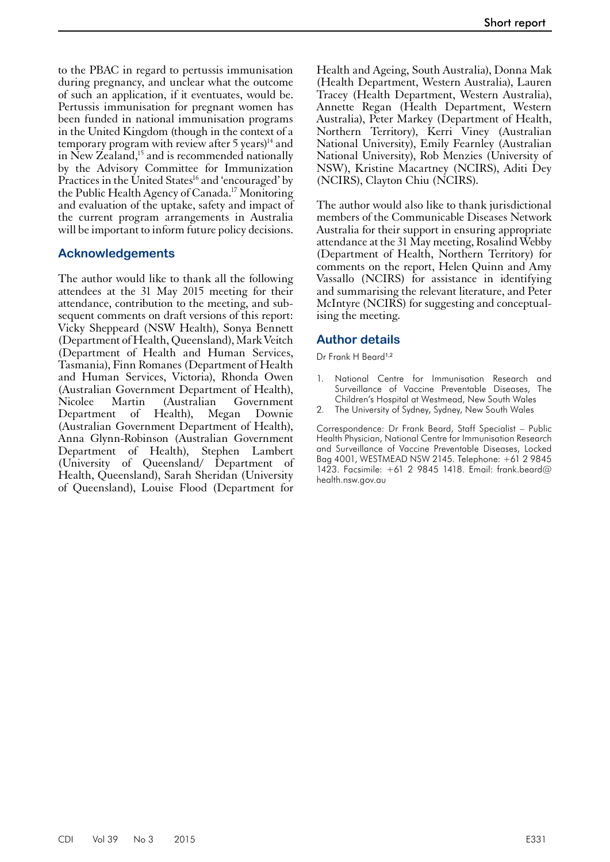to the PBAC in regard to pertussis immunisation during pregnancy, and unclear what the outcome of such an application, if it eventuates, would be. Pertussis immunisation for pregnant women has been funded in national immunisation programs in the United Kingdom (though in the context of a temporary program with review after 5 years) $14$  and in New Zealand,<sup>15</sup> and is recommended nationally by the Advisory Committee for Immunization Practices in the United States<sup>16</sup> and 'encouraged' by the Public Health Agency of Canada.17 Monitoring and evaluation of the uptake, safety and impact of the current program arrangements in Australia will be important to inform future policy decisions.

#### **Acknowledgements**

The author would like to thank all the following attendees at the 31 May 2015 meeting for their attendance, contribution to the meeting, and subsequent comments on draft versions of this report: Vicky Sheppeard (NSW Health), Sonya Bennett (Department of Health, Queensland), Mark Veitch (Department of Health and Human Services, Tasmania), Finn Romanes (Department of Health and Human Services, Victoria), Rhonda Owen (Australian Government Department of Health), Nicolee Martin (Australian Government Department of Health), Megan Downie (Australian Government Department of Health), Anna Glynn-Robinson (Australian Government Department of Health), Stephen Lambert (University of Queensland/ Department of Health, Queensland), Sarah Sheridan (University of Queensland), Louise Flood (Department for

Health and Ageing, South Australia), Donna Mak (Health Department, Western Australia), Lauren Tracey (Health Department, Western Australia), Annette Regan (Health Department, Western Australia), Peter Markey (Department of Health, Northern Territory), Kerri Viney (Australian National University), Emily Fearnley (Australian National University), Rob Menzies (University of NSW), Kristine Macartney (NCIRS), Aditi Dey (NCIRS), Clayton Chiu (NCIRS).

The author would also like to thank jurisdictional members of the Communicable Diseases Network Australia for their support in ensuring appropriate attendance at the 31 May meeting, Rosalind Webby (Department of Health, Northern Territory) for comments on the report, Helen Quinn and Amy Vassallo (NCIRS) for assistance in identifying and summarising the relevant literature, and Peter McIntyre (NCIRS) for suggesting and conceptualising the meeting.

#### **Author details**

Dr Frank H Beard<sup>1,2</sup>

- 1. National Centre for Immunisation Research and Surveillance of Vaccine Preventable Diseases, The Children's Hospital at Westmead, New South Wales
- 2. The University of Sydney, Sydney, New South Wales

Correspondence: Dr Frank Beard, Staff Specialist – Public Health Physician, National Centre for Immunisation Research and Surveillance of Vaccine Preventable Diseases, Locked Bag 4001, WESTMEAD NSW 2145. Telephone: +61 2 9845 1423. Facsimile: +61 2 9845 1418. Email: frank.beard@ health.nsw.gov.au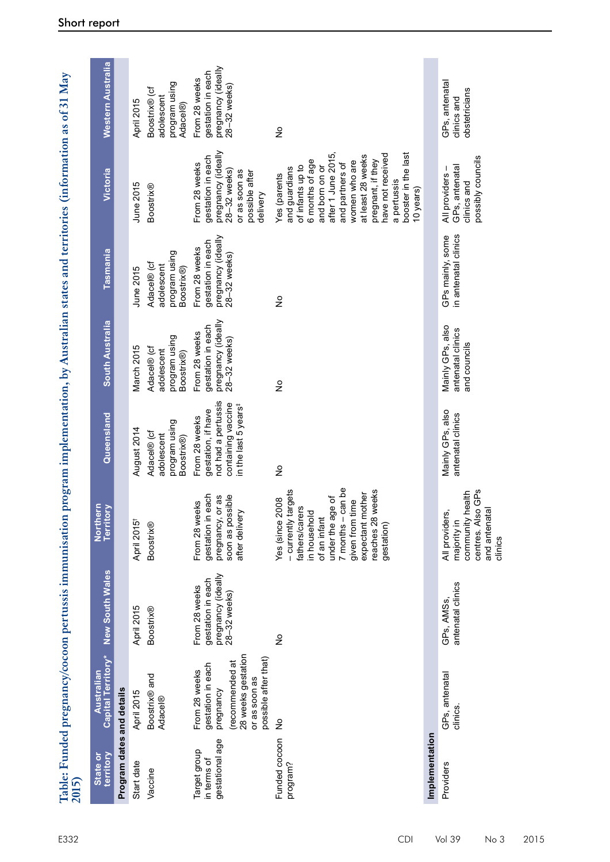| 2015)                                          | Table: Funded pregnancy/cocoon pertussis immunisation                                                                             |                                                                          |                                                                                                                                                                                                                      | program implementation, by Australian states and territories (information as of 31 May                               |                                                                          |                                                                          |                                                                                                                                                                                                                                                                   |                                                                          |
|------------------------------------------------|-----------------------------------------------------------------------------------------------------------------------------------|--------------------------------------------------------------------------|----------------------------------------------------------------------------------------------------------------------------------------------------------------------------------------------------------------------|----------------------------------------------------------------------------------------------------------------------|--------------------------------------------------------------------------|--------------------------------------------------------------------------|-------------------------------------------------------------------------------------------------------------------------------------------------------------------------------------------------------------------------------------------------------------------|--------------------------------------------------------------------------|
| territory<br>State or                          | Capital Territory*<br>Australian                                                                                                  | <b>New South Wales</b>                                                   | Northern<br>Territory                                                                                                                                                                                                | Queensland                                                                                                           | South Australia                                                          | Tasmania                                                                 | Victoria                                                                                                                                                                                                                                                          | Western Australia                                                        |
| Program dates and details                      |                                                                                                                                   |                                                                          |                                                                                                                                                                                                                      |                                                                                                                      |                                                                          |                                                                          |                                                                                                                                                                                                                                                                   |                                                                          |
| Start date                                     | April 2015                                                                                                                        | April 2015                                                               | April 2015 <sup>+</sup>                                                                                                                                                                                              | August 2014                                                                                                          | March 2015                                                               | June 2015                                                                | June 2015                                                                                                                                                                                                                                                         | April 2015                                                               |
| Vaccine                                        | Boostrix <sup>®</sup> and<br><b>Adacel®</b>                                                                                       | <b>Boostrix®</b>                                                         | <b>Boostrix®</b>                                                                                                                                                                                                     | program using<br>Adacel® (cf<br>adolescent<br>Boostrix®)                                                             | program using<br>Adacel® (cf<br>adolescent<br>Boostrix®)                 | program using<br>Adacel® (cf<br>adolescent<br>Boostrix®)                 | <b>Boostrix®</b>                                                                                                                                                                                                                                                  | program using<br>Boostrix® (cf<br>adolescent<br>Adacel®)                 |
| gestational age<br>Target group<br>in terms of | 28 weeks gestation<br>possible after that)<br>(recommended at<br>gestation in each<br>From 28 weeks<br>or as soon as<br>pregnancy | pregnancy (ideally<br>gestation in each<br>From 28 weeks<br>28-32 weeks) | gestation in each<br>soon as possible<br>pregnancy, or as<br>From 28 weeks<br>after delivery                                                                                                                         | not had a pertussis<br>containing vaccine<br>in the last 5 years <sup>#</sup><br>gestation, if have<br>From 28 weeks | pregnancy (ideally<br>gestation in each<br>From 28 weeks<br>28-32 weeks) | pregnancy (ideally<br>gestation in each<br>From 28 weeks<br>28-32 weeks) | pregnancy (ideally<br>gestation in each<br>From 28 weeks<br>28-32 weeks)<br>or as soon as<br>possible after<br>delivery                                                                                                                                           | pregnancy (ideally<br>gestation in each<br>From 28 weeks<br>28-32 weeks) |
| Funded cocoon<br>program?                      | $\frac{1}{2}$                                                                                                                     | $\frac{1}{2}$                                                            | can be<br>- currently targets<br>weeks<br>expectant mother<br>under the age of<br>Yes (since 2008<br>given from time<br>fathers/carers<br>in household<br>of an infant<br>reaches 28<br>$7$ months $-$<br>gestation) | $\frac{1}{2}$                                                                                                        | ş                                                                        | $\frac{1}{2}$                                                            | have not received<br>after 1 June 2015<br>booster in the last<br>at least 28 weeks<br>6 months of age<br>pregnant, if they<br>women who are<br>and partners of<br>of infants up to<br>and born on or<br>and guardians<br>Yes (parents<br>a pertussis<br>10 years) | $\frac{1}{2}$                                                            |
| Implementation                                 |                                                                                                                                   |                                                                          |                                                                                                                                                                                                                      |                                                                                                                      |                                                                          |                                                                          |                                                                                                                                                                                                                                                                   |                                                                          |
| Providers                                      | GPs, antenatal<br>clinics.                                                                                                        | antenatal clinics<br>GPs, AMSs,                                          | centres. Also GPs<br>and antenatal<br>health<br>All providers,<br>community<br>majority in<br>clinics                                                                                                                | Mainly GPs, also<br>antenatal clinics                                                                                | Mainly GPs, also<br>antenatal clinics<br>and councils                    | in antenatal clinics<br>GPs mainly, some                                 | possibly councils<br>GPs, antenatal<br>All providers<br>clinics and                                                                                                                                                                                               | GPs, antenatal<br>obstetricians<br>clinics and                           |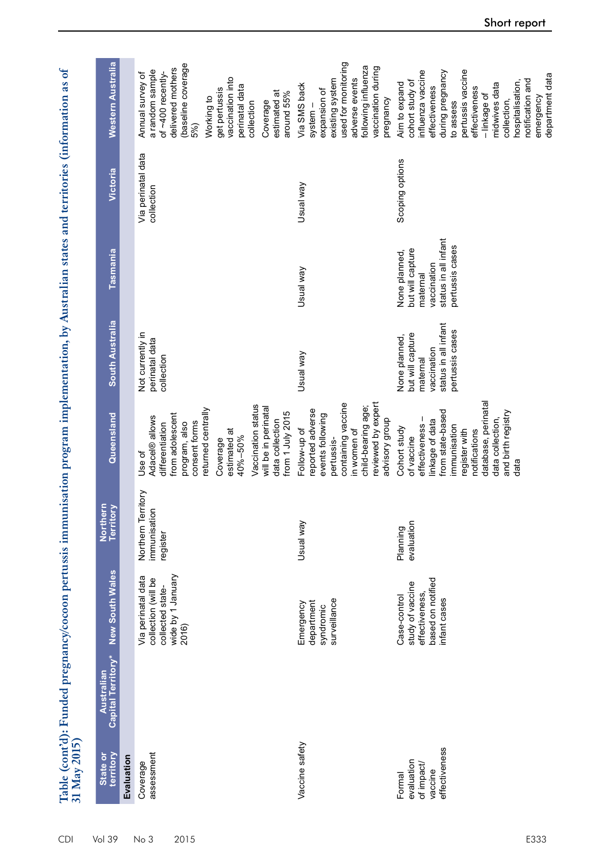Table (cont'd): Funded pregnancy/cocoon pertussis immunisation program implementation, by Australian states and territories (information as of<br>31 May 2015) **Table (cont'd): Funded pregnancy/cocoon pertussis immunisation program implementation, by Australian states and territories (information as of 31 May 2015)**

| State or<br>territory                                          | Capital Territory*<br>Australian | <b>New South Wales</b>                                                                      | Northern<br>Territory                         | Queensland                                                                                                                                                                                                                                        | <b>South Australia</b>                                                                                  | Tasmania                                                                                                | Victoria                         | Western Australia                                                                                                                                                                                                                       |
|----------------------------------------------------------------|----------------------------------|---------------------------------------------------------------------------------------------|-----------------------------------------------|---------------------------------------------------------------------------------------------------------------------------------------------------------------------------------------------------------------------------------------------------|---------------------------------------------------------------------------------------------------------|---------------------------------------------------------------------------------------------------------|----------------------------------|-----------------------------------------------------------------------------------------------------------------------------------------------------------------------------------------------------------------------------------------|
| Evaluation                                                     |                                  |                                                                                             |                                               |                                                                                                                                                                                                                                                   |                                                                                                         |                                                                                                         |                                  |                                                                                                                                                                                                                                         |
| assessment<br>Coverage                                         |                                  | wide by 1 January<br>Via perinatal data<br>collection (will be<br>collected state-<br>2016) | Northern Territory<br>immunisation<br>egister | Vaccination status<br>will be in perinatal<br>eturned centrally<br>from 1 July 2015<br>from adolescent<br>Adacel® allows<br>data collection<br>consent forms<br>differentiation<br>program, also<br>estimated at<br>40%-50%<br>Coverage<br>Use of | Not currently in<br>perinatal data<br>collection                                                        |                                                                                                         | Via perinatal data<br>collection | (baseline coverage<br>delivered mothers<br>a random sample<br>of ~400 recently-<br>Annual survey of<br>vaccination into<br>perinatal data<br>get pertussis<br>estimated at<br>around 55%<br>Working to<br>Coverage<br>collection<br>5%) |
| Vaccine safety                                                 |                                  | surveillance<br>department<br>Emergency<br>syndromic                                        | Usual way                                     | reviewed by expert<br>containing vaccine<br>child-bearing age;<br>reported adverse<br>events following<br>advisory group<br>Follow-up of<br>in women of<br>pertussis-                                                                             | Vew lensu                                                                                               | Usual way                                                                                               | Usual way                        | used for monitoring<br>following influenza<br>vaccination during<br>adverse events<br>existing system<br>Via SMS back<br>expansion of<br>pregnancy<br>system -                                                                          |
| effectiveness<br>evaluation<br>of impact/<br>vaccine<br>Formal |                                  | based on notified<br>study of vaccine<br>effectiveness,<br>Case-control<br>infant cases     | evaluation<br>Planning                        | database, perinatal<br>from state-based<br>and birth registry<br>effectiveness-<br>data collection,<br>linkage of data<br>immunisation<br>Cohort study<br>register with<br>notifications<br>of vaccine<br>data                                    | status in all infant<br>pertussis cases<br>but will capture<br>None planned,<br>vaccination<br>maternal | status in all infant<br>pertussis cases<br>but will capture<br>None planned,<br>vaccination<br>maternal | Scoping options                  | influenza vaccine<br>pertussis vaccine<br>during pregnancy<br>notification and<br>cohort study of<br>hospitalisation,<br>Aim to expand<br>midwives data<br>effectiveness<br>effectiveness<br>- linkage of<br>collection,<br>to assess   |

emergency department data

emergency<br>department data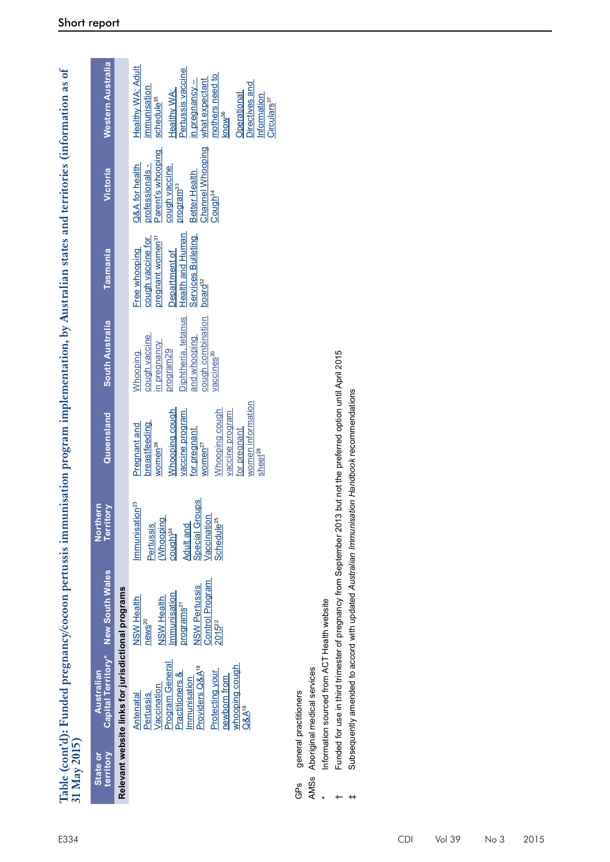|              | Western Australia                  |                                                    | Healthy WA; Adult<br>Pertussis vaccine<br>mothers need to<br>what expectant<br>n pregnancy -<br>Directives and<br>mmunisation<br>Healthy WA;<br>Operational<br>Information<br>schedule <sup>35</sup><br>Circulars <sup>37</sup><br>know <sup>36</sup> |
|--------------|------------------------------------|----------------------------------------------------|-------------------------------------------------------------------------------------------------------------------------------------------------------------------------------------------------------------------------------------------------------|
|              | Victoria                           |                                                    | <b>Channel Whooping</b><br>Parent's whooping<br>Q&A for health<br>orofessionals -<br>cough vaccine<br><b>Better Health</b><br>program <sup>33</sup><br>Cough <sup>34</sup>                                                                            |
|              | Tasmania                           |                                                    | Health and Human<br><b>Services Bulleting</b><br>pregnant women <sup>31</sup><br>cough vaccine for<br>Free whooping<br>Department of<br>board <sup>32</sup>                                                                                           |
|              | South Australia                    |                                                    | Diphtheria, tetanus<br>cough combination<br>cough vaccine<br>and whooping<br>n pregnancy<br>program29<br>Whooping<br>vaccines <sup>30</sup>                                                                                                           |
|              | Queensland                         |                                                    | women information<br><b>Mhooping cough</b><br><b>Mhooping cough</b><br>vaccine program<br>vaccine program<br>breastfeeding<br>Pregnant and<br>for pregnant<br>for pregnant<br>WOMen <sup>27</sup><br>women <sup>26</sup><br>sheet <sup>28</sup>       |
|              | Territory<br>Northern              |                                                    | <b>Special Groups</b><br>Immunisation <sup>23</sup><br>Vaccination<br>Schedule <sup>25</sup><br>(Whooping<br><b>Adult and</b><br><b>Pertussis</b><br>$\frac{1}{2}$                                                                                    |
|              | Capital Territory* New South Wales |                                                    | Control Program<br><b>NSW Pertussis</b><br>mmunisation<br><b>NSW Health</b><br>NSW Health<br><b>programs<sup>21</sup></b><br>news <sup>20</sup><br>2015 <sup>22</sup>                                                                                 |
|              | <b>Australian</b>                  | Relevant website links for jurisdictional programs | Program General<br>Providers Q&A <sup>18</sup><br>whooping cough<br><b>Protecting your</b><br>Practitioners &<br>newborn from<br>Immunisation<br>Vaccination<br><b>Pertussis</b><br><b>Antenatal</b><br>$Q\&A^{19}$                                   |
| 51 May 2015) | territory<br>State or              |                                                    |                                                                                                                                                                                                                                                       |

Table (cont'd): Funded pregnancy/cocoon pertussis immunisation program implementation, by Australian states and territories (information as of<br>31 May 2015) **Table (cont'd): Funded pregnancy/cocoon pertussis immunisation program implementation, by Australian states and territories (information as of 31 May 2015)**

- general practitioners GPs general practitioners GPS
- Aboriginal medical services AMSs Aboriginal medical services AMSs
- Information sourced from ACT Health website Information sourced from ACT Health website \*
- Funded for use in third trimester of pregnancy from September 2013 but not the preferred option until April 2015 Funded for use in third trimester of pregnancy from September 2013 but not the preferred option until April 2015  $\overline{+}$
- Subsequently amended to accord with updated Australian Immunisation Handbook recommendations Subsequently amended to accord with updated *Australian Immunisation Handbook* recommendations ‡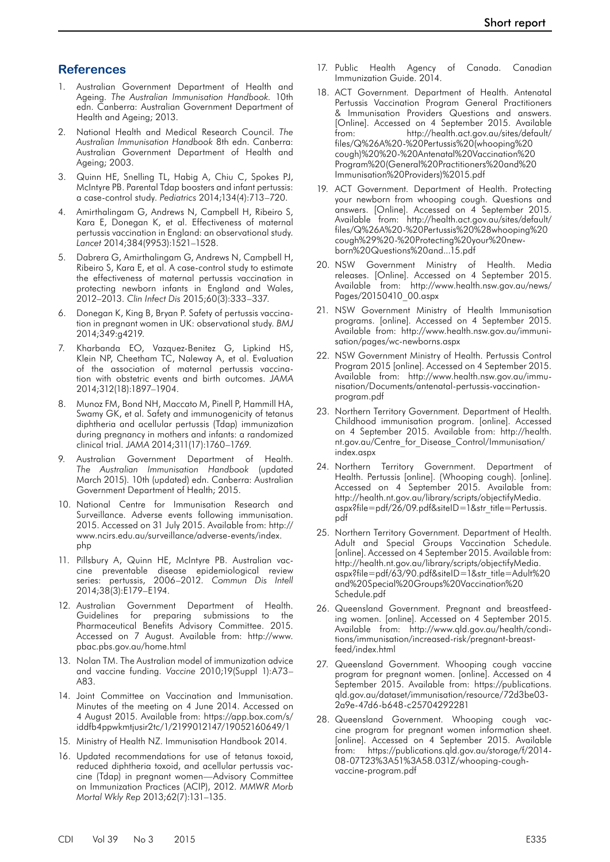#### **References**

- 1. Australian Government Department of Health and Ageing. *The Australian Immunisation Handbook.* 10th edn. Canberra: Australian Government Department of Health and Ageing; 2013.
- 2. National Health and Medical Research Council. *The Australian Immunisation Handbook* 8th edn. Canberra: Australian Government Department of Health and Ageing; 2003.
- 3. Quinn HE, Snelling TL, Habig A, Chiu C, Spokes PJ, McIntyre PB. Parental Tdap boosters and infant pertussis: a case-control study. *Pediatrics* 2014;134(4):713–720.
- 4. Amirthalingam G, Andrews N, Campbell H, Ribeiro S, Kara E, Donegan K, et al. Effectiveness of maternal pertussis vaccination in England: an observational study. *Lancet* 2014;384(9953):1521–1528.
- Dabrera G, Amirthalingam G, Andrews N, Campbell H, Ribeiro S, Kara E, et al. A case-control study to estimate the effectiveness of maternal pertussis vaccination in protecting newborn infants in England and Wales, 2012–2013. *Clin Infect Dis* 2015;60(3):333–337.
- 6. Donegan K, King B, Bryan P. Safety of pertussis vaccination in pregnant women in UK: observational study. *BMJ* 2014;349:g4219.
- 7. Kharbanda EO, Vazquez-Benitez G, Lipkind HS, Klein NP, Cheetham TC, Naleway A, et al. Evaluation of the association of maternal pertussis vaccination with obstetric events and birth outcomes. *JAMA* 2014;312(18):1897–1904.
- 8. Munoz FM, Bond NH, Maccato M, Pinell P, Hammill HA, Swamy GK, et al. Safety and immunogenicity of tetanus diphtheria and acellular pertussis (Tdap) immunization during pregnancy in mothers and infants: a randomized clinical trial. *JAMA* 2014;311(17):1760–1769.
- 9. Australian Government Department of Health. *The Australian Immunisation Handbook* (updated March 2015). 10th (updated) edn. Canberra: Australian Government Department of Health; 2015.
- 10. National Centre for Immunisation Research and Surveillance. Adverse events following immunisation. 2015. Accessed on 31 July 2015. Available from: http:// www.ncirs.edu.au/surveillance/adverse-events/index. php
- 11. Pillsbury A, Quinn HE, McIntyre PB. Australian vaccine preventable disease epidemiological review series: pertussis, 2006–2012. *Commun Dis Intell* 2014;38(3):E179–E194.
- 12. Australian Government Department of Health. Guidelines for preparing submissions to the Pharmaceutical Benefits Advisory Committee. 2015. Accessed on 7 August. Available from: http://www. pbac.pbs.gov.au/home.html
- 13. Nolan TM. The Australian model of immunization advice and vaccine funding. *Vaccine* 2010;19(Suppl 1):A73– A83.
- 14. Joint Committee on Vaccination and Immunisation. Minutes of the meeting on 4 June 2014. Accessed on 4 August 2015. Available from: https://app.box.com/s/ iddfb4ppwkmtjusir2tc/1/2199012147/19052160649/1
- 15. Ministry of Health NZ. Immunisation Handbook 2014.
- 16. Updated recommendations for use of tetanus toxoid, reduced diphtheria toxoid, and acellular pertussis vaccine (Tdap) in pregnant women—Advisory Committee on Immunization Practices (ACIP), 2012. *MMWR Morb Mortal Wkly Rep* 2013;62(7):131–135.
- 17. Public Health Agency of Canada. Canadian Immunization Guide. 2014.
- 18. ACT Government. Department of Health. Antenatal Pertussis Vaccination Program General Practitioners & Immunisation Providers Questions and answers. [Online]. Accessed on 4 September 2015. Available from: http://health.act.gov.au/sites/default/ files/Q%26A%20-%20Pertussis%20(whooping%20 cough)%20%20-%20Antenatal%20Vaccination%20 Program%20(General%20Practitioners%20and%20 Immunisation%20Providers)%2015.pdf
- 19. ACT Government. Department of Health. Protecting your newborn from whooping cough. Questions and answers. [Online]. Accessed on 4 September 2015. Available from: http://health.act.gov.au/sites/default/ files/Q%26A%20-%20Pertussis%20%28whooping%20 cough%29%20-%20Protecting%20your%20newborn%20Questions%20and...15.pdf
- 20. NSW Government Ministry of Health. Media releases. [Online]. Accessed on 4 September 2015. Available from: http://www.health.nsw.gov.au/news/ Pages/20150410\_00.aspx
- 21. NSW Government Ministry of Health Immunisation programs. [online]. Accessed on 4 September 2015. Available from: http://www.health.nsw.gov.au/immunisation/pages/wc-newborns.aspx
- 22. NSW Government Ministry of Health. Pertussis Control Program 2015 [online]. Accessed on 4 September 2015. Available from: http://www.health.nsw.gov.au/immunisation/Documents/antenatal-pertussis-vaccinationprogram.pdf
- 23. Northern Territory Government. Department of Health. Childhood immunisation program. [online]. Accessed on 4 September 2015. Available from: http://health. nt.gov.au/Centre\_for\_Disease\_Control/Immunisation/ index.aspx
- 24. Northern Territory Government. Department of Health. Pertussis [online]. (Whooping cough). [online]. Accessed on 4 September 2015. Available from: http://health.nt.gov.au/library/scripts/objectifyMedia. aspx?file=pdf/26/09.pdf&siteID=1&str\_title=Pertussis. pdf
- 25. Northern Territory Government. Department of Health. Adult and Special Groups Vaccination Schedule. [online]. Accessed on 4 September 2015. Available from: http://health.nt.gov.au/library/scripts/objectifyMedia. aspx?file=pdf/63/90.pdf&siteID=1&str\_title=Adult%20 and%20Special%20Groups%20Vaccination%20 Schedule.pdf
- 26. Queensland Government. Pregnant and breastfeeding women. [online]. Accessed on 4 September 2015. Available from: http://www.qld.gov.au/health/conditions/immunisation/increased-risk/pregnant-breastfeed/index.html
- 27. Queensland Government. Whooping cough vaccine program for pregnant women. [online]. Accessed on 4 September 2015. Available from: https://publications. qld.gov.au/dataset/immunisation/resource/72d3be03- 2a9e-47d6-b648-c25704292281
- 28. Queensland Government. Whooping cough vaccine program for pregnant women information sheet. [online]. Accessed on 4 September 2015. Available from: https://publications.qld.gov.au/storage/f/2014- 08-07T23%3A51%3A58.031Z/whooping-coughvaccine-program.pdf